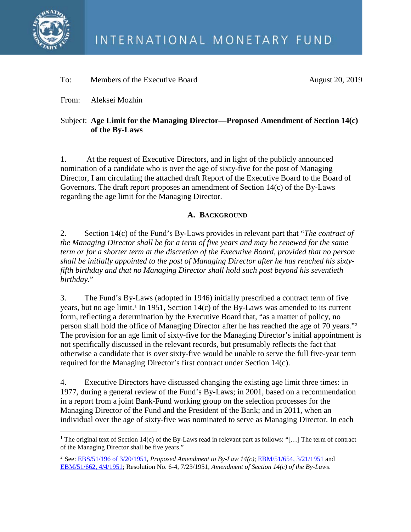

## To: Members of the Executive Board August 20, 2019

From: Aleksei Mozhin

# Subject: **Age Limit for the Managing Director—Proposed Amendment of Section 14(c) of the By-Laws**

1. At the request of Executive Directors, and in light of the publicly announced nomination of a candidate who is over the age of sixty-five for the post of Managing Director, I am circulating the attached draft Report of the Executive Board to the Board of Governors. The draft report proposes an amendment of Section 14(c) of the By-Laws regarding the age limit for the Managing Director.

# **A. BACKGROUND**

2. Section 14(c) of the Fund's By-Laws provides in relevant part that "*The contract of the Managing Director shall be for a term of five years and may be renewed for the same term or for a shorter term at the discretion of the Executive Board, provided that no person shall be initially appointed to the post of Managing Director after he has reached his sixtyfifth birthday and that no Managing Director shall hold such post beyond his seventieth birthday.*"

3. The Fund's By-Laws (adopted in 1946) initially prescribed a contract term of five years, but no age limit.<sup>[1](#page-0-0)</sup> In 1951, Section 14(c) of the By-Laws was amended to its current form, reflecting a determination by the Executive Board that, "as a matter of policy, no person shall hold the office of Managing Director after he has reached the age of 70 years."[2](#page-0-1) The provision for an age limit of sixty-five for the Managing Director's initial appointment is not specifically discussed in the relevant records, but presumably reflects the fact that otherwise a candidate that is over sixty-five would be unable to serve the full five-year term required for the Managing Director's first contract under Section 14(c).

4. Executive Directors have discussed changing the existing age limit three times: in 1977, during a general review of the Fund's By-Laws; in 2001, based on a recommendation in a report from a joint Bank-Fund working group on the selection processes for the Managing Director of the Fund and the President of the Bank; and in 2011, when an individual over the age of sixty-five was nominated to serve as Managing Director. In each

<span id="page-0-0"></span><sup>&</sup>lt;sup>1</sup> The original text of Section 14(c) of the By-Laws read in relevant part as follows: "[...] The term of contract of the Managing Director shall be five years."

<span id="page-0-1"></span><sup>2</sup> See: [EBS/51/196 of 3/20/1951,](https://archivescatalog.imf.org/Details/ArchiveExecutive/125057276) *Proposed Amendment to By-Law 14(c)*; [EBM/51/654,](https://archivescatalog.imf.org/Details/ArchiveExecutive/125057273) 3/21/1951 and [EBM/51/662,](https://archivescatalog.imf.org/Details/ArchiveExecutive/125057220) 4/4/1951; Resolution No. 6-4, 7/23/1951, *Amendment of Section 14(c) of the By-Laws*.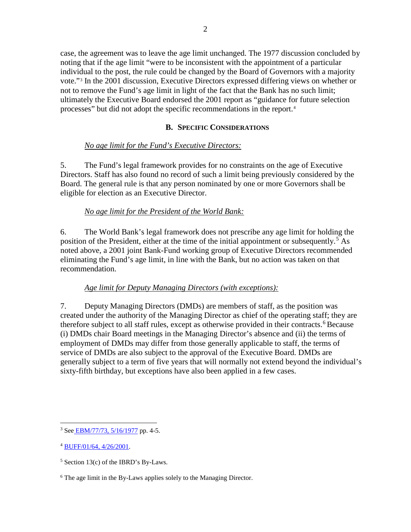case, the agreement was to leave the age limit unchanged. The 1977 discussion concluded by noting that if the age limit "were to be inconsistent with the appointment of a particular individual to the post, the rule could be changed by the Board of Governors with a majority vote."[3](#page-1-0) In the 2001 discussion, Executive Directors expressed differing views on whether or not to remove the Fund's age limit in light of the fact that the Bank has no such limit; ultimately the Executive Board endorsed the 2001 report as "guidance for future selection processes" but did not adopt the specific recommendations in the report.[4](#page-1-1)

### **B. SPECIFIC CONSIDERATIONS**

## *No age limit for the Fund's Executive Directors:*

5. The Fund's legal framework provides for no constraints on the age of Executive Directors. Staff has also found no record of such a limit being previously considered by the Board. The general rule is that any person nominated by one or more Governors shall be eligible for election as an Executive Director.

## *No age limit for the President of the World Bank:*

6. The World Bank's legal framework does not prescribe any age limit for holding the position of the President, either at the time of the initial appointment or subsequently.<sup>[5](#page-1-2)</sup> As noted above, a 2001 joint Bank-Fund working group of Executive Directors recommended eliminating the Fund's age limit, in line with the Bank, but no action was taken on that recommendation.

### *Age limit for Deputy Managing Directors (with exceptions):*

7. Deputy Managing Directors (DMDs) are members of staff, as the position was created under the authority of the Managing Director as chief of the operating staff; they are therefore subject to all staff rules, except as otherwise provided in their contracts. [6](#page-1-3) Because (i) DMDs chair Board meetings in the Managing Director's absence and (ii) the terms of employment of DMDs may differ from those generally applicable to staff, the terms of service of DMDs are also subject to the approval of the Executive Board. DMDs are generally subject to a term of five years that will normally not extend beyond the individual's sixty-fifth birthday, but exceptions have also been applied in a few cases.

<span id="page-1-0"></span><sup>&</sup>lt;sup>3</sup> See [EBM/77/73,](https://archivescatalog.imf.org/Details/ArchiveExecutive/125028291) 5/16/1977 pp. 4-5.

<span id="page-1-1"></span><sup>4</sup> [BUFF/01/64, 4/26/2001.](https://archivescatalog.imf.org/Details/ArchiveExecutive/125152543)

<span id="page-1-2"></span> $5$  Section 13(c) of the IBRD's By-Laws.

<span id="page-1-3"></span><sup>6</sup> The age limit in the By-Laws applies solely to the Managing Director.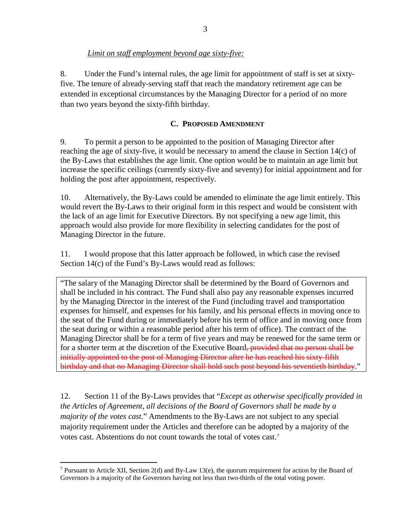# *Limit on staff employment beyond age sixty-five:*

8. Under the Fund's internal rules, the age limit for appointment of staff is set at sixtyfive. The tenure of already-serving staff that reach the mandatory retirement age can be extended in exceptional circumstances by the Managing Director for a period of no more than two years beyond the sixty-fifth birthday.

# **C. PROPOSED AMENDMENT**

9. To permit a person to be appointed to the position of Managing Director after reaching the age of sixty-five, it would be necessary to amend the clause in Section 14(c) of the By-Laws that establishes the age limit. One option would be to maintain an age limit but increase the specific ceilings (currently sixty-five and seventy) for initial appointment and for holding the post after appointment, respectively.

10. Alternatively, the By-Laws could be amended to eliminate the age limit entirely. This would revert the By-Laws to their original form in this respect and would be consistent with the lack of an age limit for Executive Directors. By not specifying a new age limit, this approach would also provide for more flexibility in selecting candidates for the post of Managing Director in the future.

11. I would propose that this latter approach be followed, in which case the revised Section 14(c) of the Fund's By-Laws would read as follows:

"The salary of the Managing Director shall be determined by the Board of Governors and shall be included in his contract. The Fund shall also pay any reasonable expenses incurred by the Managing Director in the interest of the Fund (including travel and transportation expenses for himself, and expenses for his family, and his personal effects in moving once to the seat of the Fund during or immediately before his term of office and in moving once from the seat during or within a reasonable period after his term of office). The contract of the Managing Director shall be for a term of five years and may be renewed for the same term or for a shorter term at the discretion of the Executive Board<del>, provided that no person shall be</del> initially appointed to the post of Managing Director after he has reached his sixty-fifth birthday and that no Managing Director shall hold such post beyond his seventieth birthday."

12. Section 11 of the By-Laws provides that "*Except as otherwise specifically provided in the Articles of Agreement, all decisions of the Board of Governors shall be made by a majority of the votes cast*." Amendments to the By-Laws are not subject to any special majority requirement under the Articles and therefore can be adopted by a majority of the votes cast. Abstentions do not count towards the total of votes cast.[7](#page-2-0)

<span id="page-2-0"></span><sup>&</sup>lt;sup>7</sup> Pursuant to Article XII, Section 2(d) and By-Law 13(e), the quorum requirement for action by the Board of Governors is a majority of the Governors having not less than two-thirds of the total voting power.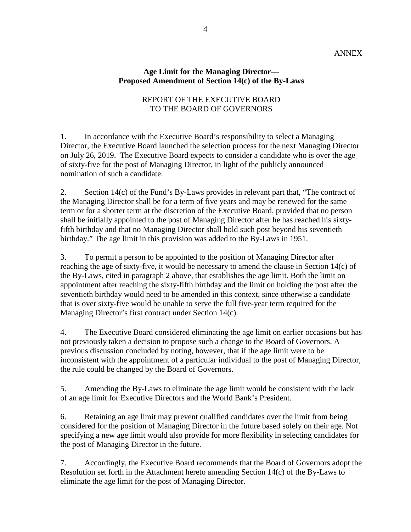#### ANNEX

#### **Age Limit for the Managing Director— Proposed Amendment of Section 14(c) of the By-Laws**

### REPORT OF THE EXECUTIVE BOARD TO THE BOARD OF GOVERNORS

1. In accordance with the Executive Board's responsibility to select a Managing Director, the Executive Board launched the selection process for the next Managing Director on July 26, 2019. The Executive Board expects to consider a candidate who is over the age of sixty-five for the post of Managing Director, in light of the publicly announced nomination of such a candidate.

2. Section 14(c) of the Fund's By-Laws provides in relevant part that, "The contract of the Managing Director shall be for a term of five years and may be renewed for the same term or for a shorter term at the discretion of the Executive Board, provided that no person shall be initially appointed to the post of Managing Director after he has reached his sixtyfifth birthday and that no Managing Director shall hold such post beyond his seventieth birthday." The age limit in this provision was added to the By-Laws in 1951.

3. To permit a person to be appointed to the position of Managing Director after reaching the age of sixty-five, it would be necessary to amend the clause in Section 14(c) of the By-Laws, cited in paragraph 2 above, that establishes the age limit. Both the limit on appointment after reaching the sixty-fifth birthday and the limit on holding the post after the seventieth birthday would need to be amended in this context, since otherwise a candidate that is over sixty-five would be unable to serve the full five-year term required for the Managing Director's first contract under Section 14(c).

4. The Executive Board considered eliminating the age limit on earlier occasions but has not previously taken a decision to propose such a change to the Board of Governors. A previous discussion concluded by noting, however, that if the age limit were to be inconsistent with the appointment of a particular individual to the post of Managing Director, the rule could be changed by the Board of Governors.

5. Amending the By-Laws to eliminate the age limit would be consistent with the lack of an age limit for Executive Directors and the World Bank's President.

6. Retaining an age limit may prevent qualified candidates over the limit from being considered for the position of Managing Director in the future based solely on their age. Not specifying a new age limit would also provide for more flexibility in selecting candidates for the post of Managing Director in the future.

7. Accordingly, the Executive Board recommends that the Board of Governors adopt the Resolution set forth in the Attachment hereto amending Section 14(c) of the By-Laws to eliminate the age limit for the post of Managing Director.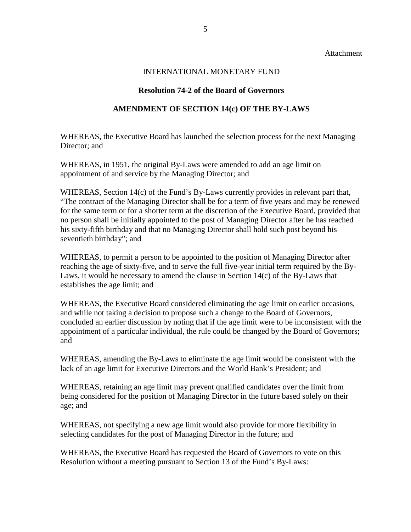Attachment

### INTERNATIONAL MONETARY FUND

### **Resolution 74-2 of the Board of Governors**

#### **AMENDMENT OF SECTION 14(c) OF THE BY-LAWS**

WHEREAS, the Executive Board has launched the selection process for the next Managing Director: and

WHEREAS, in 1951, the original By-Laws were amended to add an age limit on appointment of and service by the Managing Director; and

WHEREAS, Section 14(c) of the Fund's By-Laws currently provides in relevant part that, "The contract of the Managing Director shall be for a term of five years and may be renewed for the same term or for a shorter term at the discretion of the Executive Board, provided that no person shall be initially appointed to the post of Managing Director after he has reached his sixty-fifth birthday and that no Managing Director shall hold such post beyond his seventieth birthday"; and

WHEREAS, to permit a person to be appointed to the position of Managing Director after reaching the age of sixty-five, and to serve the full five-year initial term required by the By-Laws, it would be necessary to amend the clause in Section 14(c) of the By-Laws that establishes the age limit; and

WHEREAS, the Executive Board considered eliminating the age limit on earlier occasions, and while not taking a decision to propose such a change to the Board of Governors, concluded an earlier discussion by noting that if the age limit were to be inconsistent with the appointment of a particular individual, the rule could be changed by the Board of Governors; and

WHEREAS, amending the By-Laws to eliminate the age limit would be consistent with the lack of an age limit for Executive Directors and the World Bank's President; and

WHEREAS, retaining an age limit may prevent qualified candidates over the limit from being considered for the position of Managing Director in the future based solely on their age; and

WHEREAS, not specifying a new age limit would also provide for more flexibility in selecting candidates for the post of Managing Director in the future; and

WHEREAS, the Executive Board has requested the Board of Governors to vote on this Resolution without a meeting pursuant to Section 13 of the Fund's By-Laws: